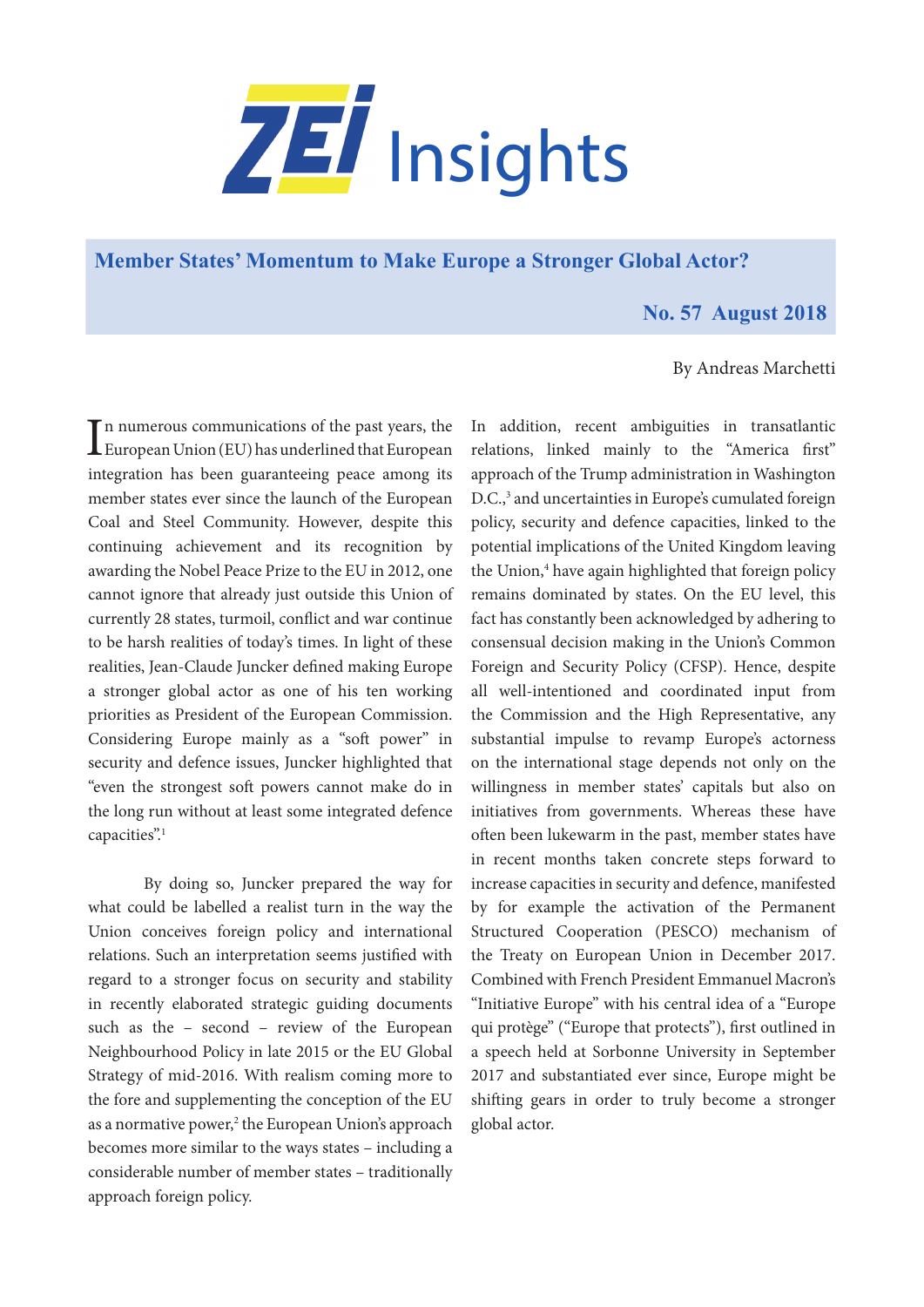

**[Member States' Momentum to Make Europe a Stronger Global Actor?](https://www.zei.uni-bonn.de/publications/zei-insights)**

## **No. 57 August 2018**

## By Andreas Marchetti

In numerous communications of the past years, the<br>European Union (EU) has underlined that European n numerous communications of the past years, the integration has been guaranteeing peace among its member states ever since the launch of the European Coal and Steel Community. However, despite this continuing achievement and its recognition by awarding the Nobel Peace Prize to the EU in 2012, one cannot ignore that already just outside this Union of currently 28 states, turmoil, conflict and war continue to be harsh realities of today's times. In light of these realities, Jean-Claude Juncker defined making Europe a stronger global actor as one of his ten working priorities as President of the European Commission. Considering Europe mainly as a "soft power" in security and defence issues, Juncker highlighted that "even the strongest soft powers cannot make do in the long run without at least some integrated defence capacities".<sup>1</sup>

By doing so, Juncker prepared the way for what could be labelled a realist turn in the way the Union conceives foreign policy and international relations. Such an interpretation seems justified with regard to a stronger focus on security and stability in recently elaborated strategic guiding documents such as the – second – review of the European Neighbourhood Policy in late 2015 or the EU Global Strategy of mid-2016. With realism coming more to the fore and supplementing the conception of the EU as a normative power,<sup>2</sup> the European Union's approach becomes more similar to the ways states – including a considerable number of member states – traditionally approach foreign policy.

In addition, recent ambiguities in transatlantic relations, linked mainly to the "America first" approach of the Trump administration in Washington D.C.,<sup>3</sup> and uncertainties in Europe's cumulated foreign policy, security and defence capacities, linked to the potential implications of the United Kingdom leaving the Union,<sup>4</sup> have again highlighted that foreign policy remains dominated by states. On the EU level, this fact has constantly been acknowledged by adhering to consensual decision making in the Union's Common Foreign and Security Policy (CFSP). Hence, despite all well-intentioned and coordinated input from the Commission and the High Representative, any substantial impulse to revamp Europe's actorness on the international stage depends not only on the willingness in member states' capitals but also on initiatives from governments. Whereas these have often been lukewarm in the past, member states have in recent months taken concrete steps forward to increase capacities in security and defence, manifested by for example the activation of the Permanent Structured Cooperation (PESCO) mechanism of the Treaty on European Union in December 2017. Combined with French President Emmanuel Macron's "Initiative Europe" with his central idea of a "Europe qui protège" ("Europe that protects"), first outlined in a speech held at Sorbonne University in September 2017 and substantiated ever since, Europe might be shifting gears in order to truly become a stronger global actor.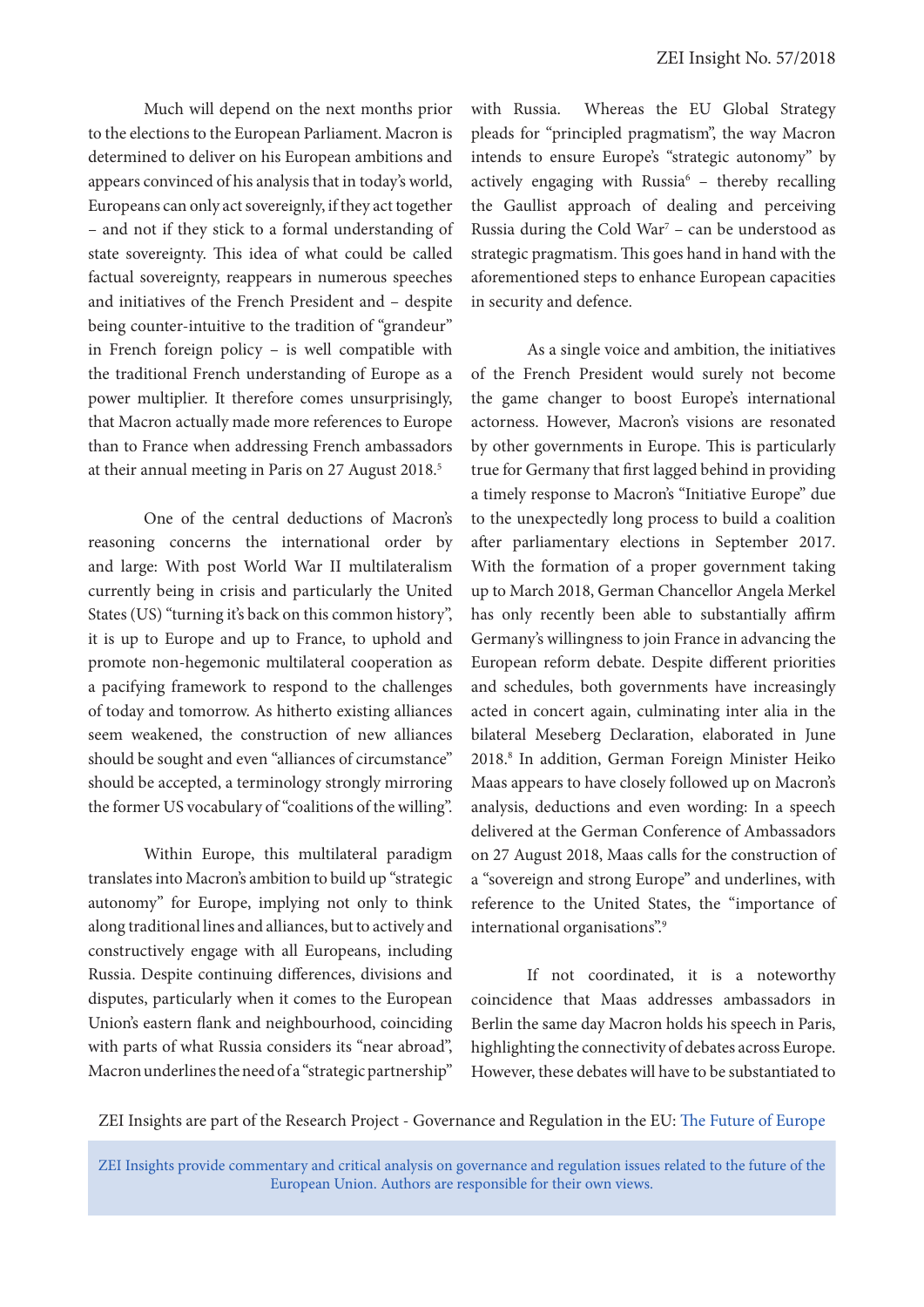Much will depend on the next months prior to the elections to the European Parliament. Macron is determined to deliver on his European ambitions and appears convinced of his analysis that in today's world, Europeans can only act sovereignly, if they act together – and not if they stick to a formal understanding of state sovereignty. This idea of what could be called factual sovereignty, reappears in numerous speeches and initiatives of the French President and – despite being counter-intuitive to the tradition of "grandeur" in French foreign policy – is well compatible with the traditional French understanding of Europe as a power multiplier. It therefore comes unsurprisingly, that Macron actually made more references to Europe than to France when addressing French ambassadors at their annual meeting in Paris on 27 August 2018.<sup>5</sup>

One of the central deductions of Macron's reasoning concerns the international order by and large: With post World War II multilateralism currently being in crisis and particularly the United States (US) "turning it's back on this common history", it is up to Europe and up to France, to uphold and promote non-hegemonic multilateral cooperation as a pacifying framework to respond to the challenges of today and tomorrow. As hitherto existing alliances seem weakened, the construction of new alliances should be sought and even "alliances of circumstance" should be accepted, a terminology strongly mirroring the former US vocabulary of "coalitions of the willing".

Within Europe, this multilateral paradigm translates into Macron's ambition to build up "strategic autonomy" for Europe, implying not only to think along traditional lines and alliances, but to actively and constructively engage with all Europeans, including Russia. Despite continuing differences, divisions and disputes, particularly when it comes to the European Union's eastern flank and neighbourhood, coinciding with parts of what Russia considers its "near abroad", Macron underlines the need of a "strategic partnership"

with Russia. Whereas the EU Global Strategy pleads for "principled pragmatism", the way Macron intends to ensure Europe's "strategic autonomy" by actively engaging with Russia $6 -$  thereby recalling the Gaullist approach of dealing and perceiving Russia during the Cold War<sup>7</sup> – can be understood as strategic pragmatism. This goes hand in hand with the aforementioned steps to enhance European capacities in security and defence.

As a single voice and ambition, the initiatives of the French President would surely not become the game changer to boost Europe's international actorness. However, Macron's visions are resonated by other governments in Europe. This is particularly true for Germany that first lagged behind in providing a timely response to Macron's "Initiative Europe" due to the unexpectedly long process to build a coalition after parliamentary elections in September 2017. With the formation of a proper government taking up to March 2018, German Chancellor Angela Merkel has only recently been able to substantially affirm Germany's willingness to join France in advancing the European reform debate. Despite different priorities and schedules, both governments have increasingly acted in concert again, culminating inter alia in the bilateral Meseberg Declaration, elaborated in June 2018.8 In addition, German Foreign Minister Heiko Maas appears to have closely followed up on Macron's analysis, deductions and even wording: In a speech delivered at the German Conference of Ambassadors on 27 August 2018, Maas calls for the construction of a "sovereign and strong Europe" and underlines, with reference to the United States, the "importance of international organisations".<sup>9</sup>

If not coordinated, it is a noteworthy coincidence that Maas addresses ambassadors in Berlin the same day Macron holds his speech in Paris, highlighting the connectivity of debates across Europe. However, these debates will have to be substantiated to

ZEI Insights are part of the Research Project - Governance and Regulation in the EU: [The Future of Europe](https://www.zei.uni-bonn.de/research/governance-and-regulation?set_language=en)

ZEI Insights provide commentary and critical analysis on governance and regulation issues related to the future of the European Union. Authors are responsible for their own views.